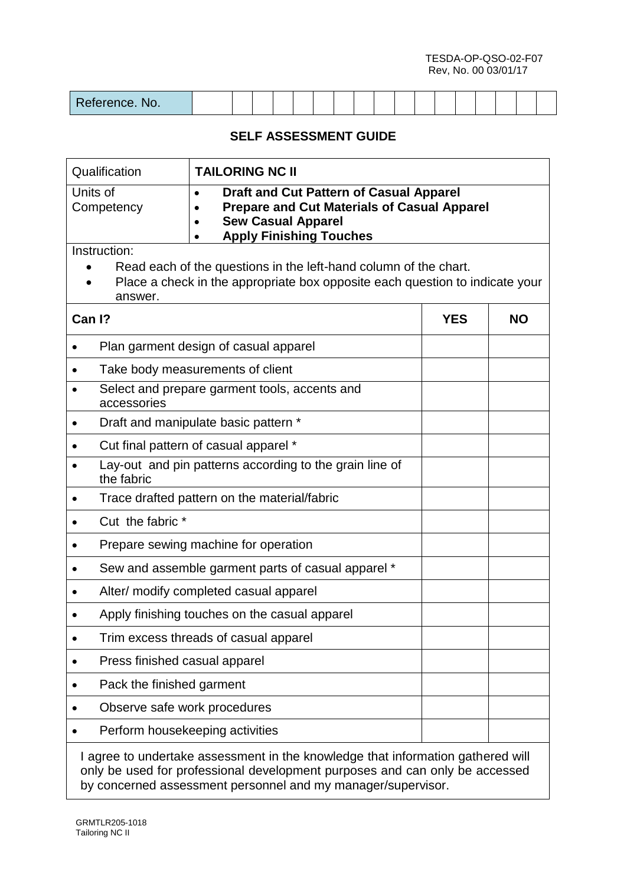TESDA-OP-QSO-02-F07 Rev, No. 00 03/01/17

| Reference. No. |  |  |  |  |  |  |  |  |  |  |  |  |  |  |  |  |  |
|----------------|--|--|--|--|--|--|--|--|--|--|--|--|--|--|--|--|--|
|----------------|--|--|--|--|--|--|--|--|--|--|--|--|--|--|--|--|--|

### **SELF ASSESSMENT GUIDE**

| Qualification<br><b>TAILORING NC II</b>                                                                                                                                                       |                                                                                                                                                                |            |           |  |  |  |  |  |  |  |
|-----------------------------------------------------------------------------------------------------------------------------------------------------------------------------------------------|----------------------------------------------------------------------------------------------------------------------------------------------------------------|------------|-----------|--|--|--|--|--|--|--|
| Units of<br><b>Draft and Cut Pattern of Casual Apparel</b><br><b>Prepare and Cut Materials of Casual Apparel</b><br>Competency<br><b>Sew Casual Apparel</b><br><b>Apply Finishing Touches</b> |                                                                                                                                                                |            |           |  |  |  |  |  |  |  |
| Instruction:<br>Read each of the questions in the left-hand column of the chart.<br>Place a check in the appropriate box opposite each question to indicate your<br>answer.                   |                                                                                                                                                                |            |           |  |  |  |  |  |  |  |
| Can I?                                                                                                                                                                                        |                                                                                                                                                                | <b>YES</b> | <b>NO</b> |  |  |  |  |  |  |  |
|                                                                                                                                                                                               | Plan garment design of casual apparel                                                                                                                          |            |           |  |  |  |  |  |  |  |
|                                                                                                                                                                                               | Take body measurements of client                                                                                                                               |            |           |  |  |  |  |  |  |  |
| accessories                                                                                                                                                                                   | Select and prepare garment tools, accents and                                                                                                                  |            |           |  |  |  |  |  |  |  |
|                                                                                                                                                                                               | Draft and manipulate basic pattern *                                                                                                                           |            |           |  |  |  |  |  |  |  |
|                                                                                                                                                                                               | Cut final pattern of casual apparel *                                                                                                                          |            |           |  |  |  |  |  |  |  |
| the fabric                                                                                                                                                                                    | Lay-out and pin patterns according to the grain line of                                                                                                        |            |           |  |  |  |  |  |  |  |
|                                                                                                                                                                                               | Trace drafted pattern on the material/fabric                                                                                                                   |            |           |  |  |  |  |  |  |  |
| Cut the fabric *                                                                                                                                                                              |                                                                                                                                                                |            |           |  |  |  |  |  |  |  |
|                                                                                                                                                                                               | Prepare sewing machine for operation                                                                                                                           |            |           |  |  |  |  |  |  |  |
|                                                                                                                                                                                               | Sew and assemble garment parts of casual apparel *                                                                                                             |            |           |  |  |  |  |  |  |  |
|                                                                                                                                                                                               | Alter/ modify completed casual apparel                                                                                                                         |            |           |  |  |  |  |  |  |  |
|                                                                                                                                                                                               | Apply finishing touches on the casual apparel                                                                                                                  |            |           |  |  |  |  |  |  |  |
|                                                                                                                                                                                               | Trim excess threads of casual apparel                                                                                                                          |            |           |  |  |  |  |  |  |  |
| Press finished casual apparel                                                                                                                                                                 |                                                                                                                                                                |            |           |  |  |  |  |  |  |  |
| Pack the finished garment                                                                                                                                                                     |                                                                                                                                                                |            |           |  |  |  |  |  |  |  |
| Observe safe work procedures                                                                                                                                                                  |                                                                                                                                                                |            |           |  |  |  |  |  |  |  |
|                                                                                                                                                                                               | Perform housekeeping activities                                                                                                                                |            |           |  |  |  |  |  |  |  |
|                                                                                                                                                                                               | I agree to undertake assessment in the knowledge that information gathered will<br>ruly be used for professional development purposes and can only be accessed |            |           |  |  |  |  |  |  |  |

only be used for professional development purposes and can only be accessed by concerned assessment personnel and my manager/supervisor.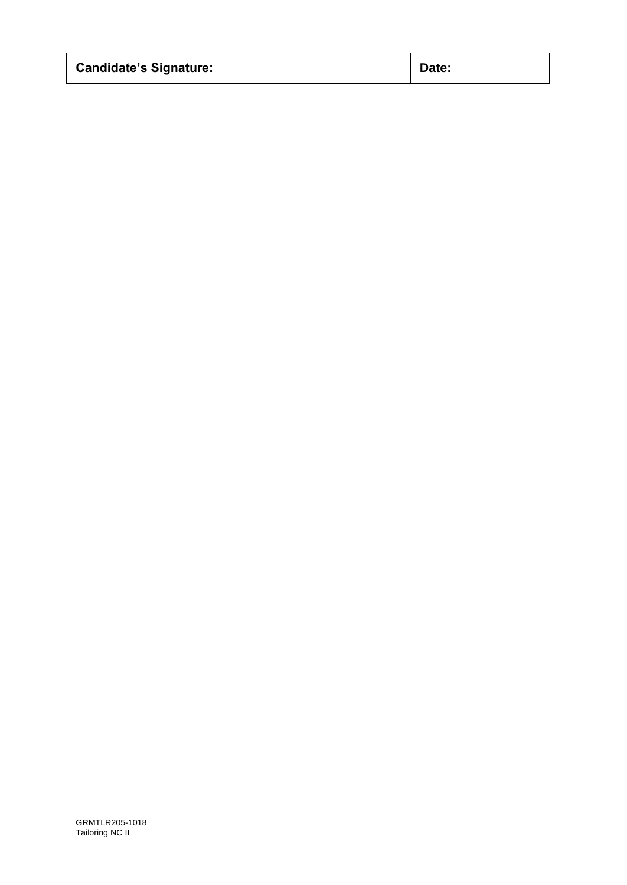| <b>Candidate's Signature:</b> | Date: |
|-------------------------------|-------|
|-------------------------------|-------|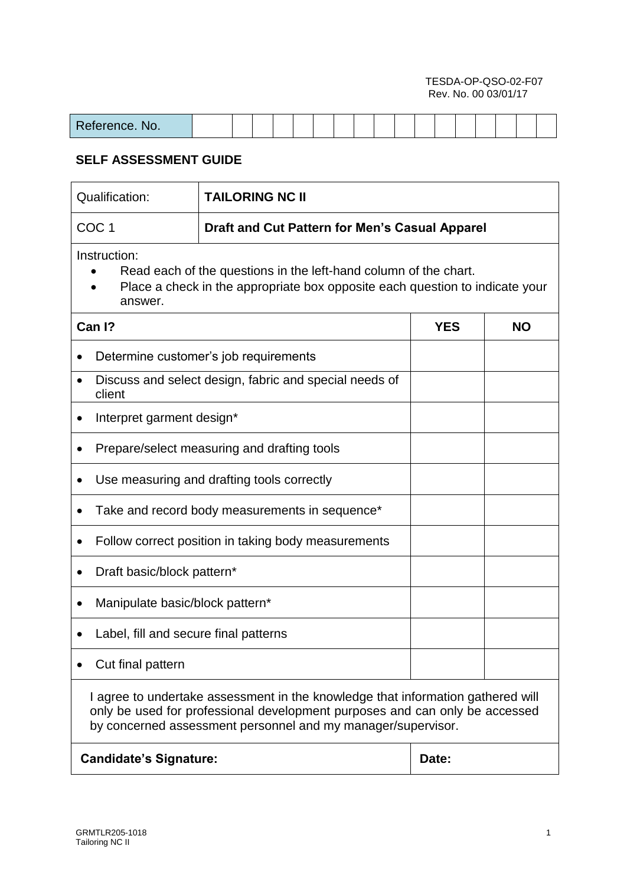#### TESDA-OP-QSO-02-F07 Rev. No. 00 03/01/17

| $      -$<br><u><b>IUIUIIUU. IVU.</b></u> |  |  |  |  |  |  |  |  |  |
|-------------------------------------------|--|--|--|--|--|--|--|--|--|

# **SELF ASSESSMENT GUIDE**

| Qualification:<br><b>TAILORING NC II</b>                                                                                                                                                                                       |                                                        |           |  |  |  |  |  |  |  |
|--------------------------------------------------------------------------------------------------------------------------------------------------------------------------------------------------------------------------------|--------------------------------------------------------|-----------|--|--|--|--|--|--|--|
| COC <sub>1</sub><br>Draft and Cut Pattern for Men's Casual Apparel                                                                                                                                                             |                                                        |           |  |  |  |  |  |  |  |
| Instruction:<br>Read each of the questions in the left-hand column of the chart.<br>Place a check in the appropriate box opposite each question to indicate your<br>answer.                                                    |                                                        |           |  |  |  |  |  |  |  |
| Can I?                                                                                                                                                                                                                         | <b>YES</b>                                             | <b>NO</b> |  |  |  |  |  |  |  |
|                                                                                                                                                                                                                                | Determine customer's job requirements                  |           |  |  |  |  |  |  |  |
| client                                                                                                                                                                                                                         | Discuss and select design, fabric and special needs of |           |  |  |  |  |  |  |  |
| Interpret garment design*<br>$\bullet$                                                                                                                                                                                         |                                                        |           |  |  |  |  |  |  |  |
|                                                                                                                                                                                                                                | Prepare/select measuring and drafting tools            |           |  |  |  |  |  |  |  |
|                                                                                                                                                                                                                                | Use measuring and drafting tools correctly             |           |  |  |  |  |  |  |  |
|                                                                                                                                                                                                                                | Take and record body measurements in sequence*         |           |  |  |  |  |  |  |  |
|                                                                                                                                                                                                                                | Follow correct position in taking body measurements    |           |  |  |  |  |  |  |  |
| Draft basic/block pattern*                                                                                                                                                                                                     |                                                        |           |  |  |  |  |  |  |  |
| Manipulate basic/block pattern*                                                                                                                                                                                                |                                                        |           |  |  |  |  |  |  |  |
| Label, fill and secure final patterns                                                                                                                                                                                          |                                                        |           |  |  |  |  |  |  |  |
| Cut final pattern                                                                                                                                                                                                              |                                                        |           |  |  |  |  |  |  |  |
| I agree to undertake assessment in the knowledge that information gathered will<br>only be used for professional development purposes and can only be accessed<br>by concerned assessment personnel and my manager/supervisor. |                                                        |           |  |  |  |  |  |  |  |
| <b>Candidate's Signature:</b>                                                                                                                                                                                                  |                                                        | Date:     |  |  |  |  |  |  |  |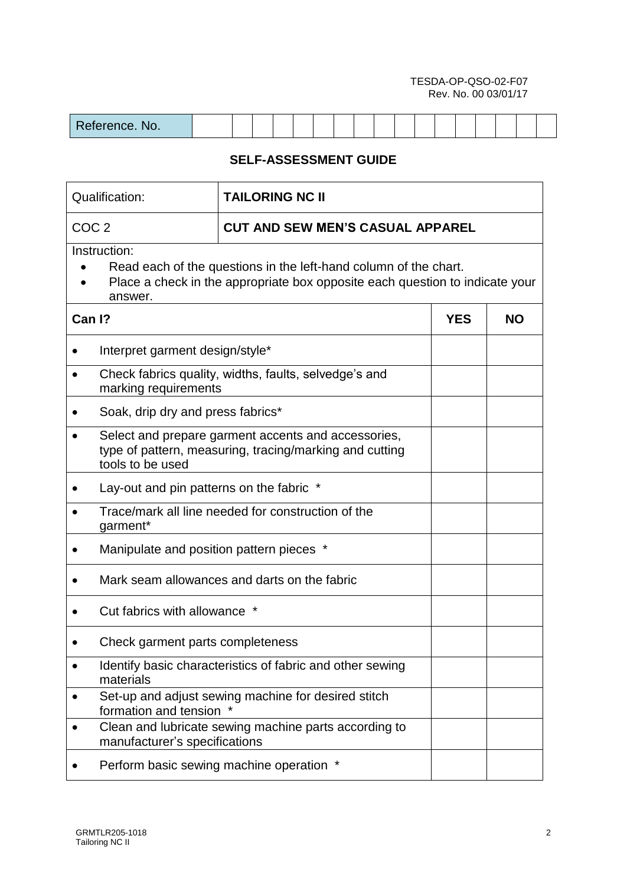#### TESDA-OP-QSO-02-F07 Rev. No. 00 03/01/17

| $D_{\alpha}$<br>$\sim$ $\sim$ $\sim$<br>eterence. No. |  |  |  |  |  |  |  |  |  |  |  |  |  |  |  |  |  |
|-------------------------------------------------------|--|--|--|--|--|--|--|--|--|--|--|--|--|--|--|--|--|
|-------------------------------------------------------|--|--|--|--|--|--|--|--|--|--|--|--|--|--|--|--|--|

# **SELF-ASSESSMENT GUIDE**

| Qualification:                                                                                                                                                              | <b>TAILORING NC II</b>                                    |           |  |  |  |  |  |  |  |
|-----------------------------------------------------------------------------------------------------------------------------------------------------------------------------|-----------------------------------------------------------|-----------|--|--|--|--|--|--|--|
| COC <sub>2</sub>                                                                                                                                                            | <b>CUT AND SEW MEN'S CASUAL APPAREL</b>                   |           |  |  |  |  |  |  |  |
| Instruction:<br>Read each of the questions in the left-hand column of the chart.<br>Place a check in the appropriate box opposite each question to indicate your<br>answer. |                                                           |           |  |  |  |  |  |  |  |
| Can I?                                                                                                                                                                      | <b>YES</b>                                                | <b>NO</b> |  |  |  |  |  |  |  |
| Interpret garment design/style*                                                                                                                                             |                                                           |           |  |  |  |  |  |  |  |
| Check fabrics quality, widths, faults, selvedge's and<br>$\bullet$<br>marking requirements                                                                                  |                                                           |           |  |  |  |  |  |  |  |
| Soak, drip dry and press fabrics*                                                                                                                                           |                                                           |           |  |  |  |  |  |  |  |
| Select and prepare garment accents and accessories,<br>type of pattern, measuring, tracing/marking and cutting<br>tools to be used                                          |                                                           |           |  |  |  |  |  |  |  |
| Lay-out and pin patterns on the fabric *                                                                                                                                    |                                                           |           |  |  |  |  |  |  |  |
| garment*                                                                                                                                                                    | Trace/mark all line needed for construction of the        |           |  |  |  |  |  |  |  |
| Manipulate and position pattern pieces *                                                                                                                                    |                                                           |           |  |  |  |  |  |  |  |
|                                                                                                                                                                             | Mark seam allowances and darts on the fabric              |           |  |  |  |  |  |  |  |
| Cut fabrics with allowance                                                                                                                                                  |                                                           |           |  |  |  |  |  |  |  |
| Check garment parts completeness                                                                                                                                            |                                                           |           |  |  |  |  |  |  |  |
| materials                                                                                                                                                                   | Identify basic characteristics of fabric and other sewing |           |  |  |  |  |  |  |  |
| formation and tension                                                                                                                                                       | Set-up and adjust sewing machine for desired stitch       |           |  |  |  |  |  |  |  |
| $\bullet$<br>manufacturer's specifications                                                                                                                                  | Clean and lubricate sewing machine parts according to     |           |  |  |  |  |  |  |  |
| Perform basic sewing machine operation *                                                                                                                                    |                                                           |           |  |  |  |  |  |  |  |